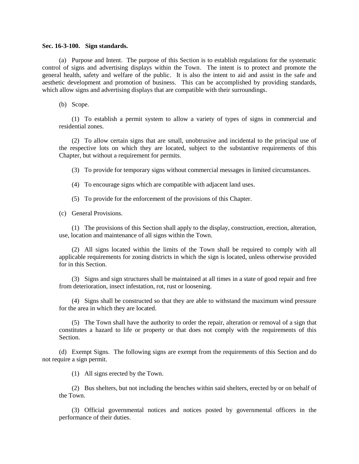## **Sec. 16-3-100. Sign standards.**

(a) Purpose and Intent. The purpose of this Section is to establish regulations for the systematic control of signs and advertising displays within the Town. The intent is to protect and promote the general health, safety and welfare of the public. It is also the intent to aid and assist in the safe and aesthetic development and promotion of business. This can be accomplished by providing standards, which allow signs and advertising displays that are compatible with their surroundings.

(b) Scope.

(1) To establish a permit system to allow a variety of types of signs in commercial and residential zones.

(2) To allow certain signs that are small, unobtrusive and incidental to the principal use of the respective lots on which they are located, subject to the substantive requirements of this Chapter, but without a requirement for permits.

(3) To provide for temporary signs without commercial messages in limited circumstances.

(4) To encourage signs which are compatible with adjacent land uses.

(5) To provide for the enforcement of the provisions of this Chapter.

(c) General Provisions.

(1) The provisions of this Section shall apply to the display, construction, erection, alteration, use, location and maintenance of all signs within the Town.

(2) All signs located within the limits of the Town shall be required to comply with all applicable requirements for zoning districts in which the sign is located, unless otherwise provided for in this Section.

(3) Signs and sign structures shall be maintained at all times in a state of good repair and free from deterioration, insect infestation, rot, rust or loosening.

(4) Signs shall be constructed so that they are able to withstand the maximum wind pressure for the area in which they are located.

(5) The Town shall have the authority to order the repair, alteration or removal of a sign that constitutes a hazard to life or property or that does not comply with the requirements of this Section.

(d) Exempt Signs. The following signs are exempt from the requirements of this Section and do not require a sign permit.

(1) All signs erected by the Town.

(2) Bus shelters, but not including the benches within said shelters, erected by or on behalf of the Town.

(3) Official governmental notices and notices posted by governmental officers in the performance of their duties.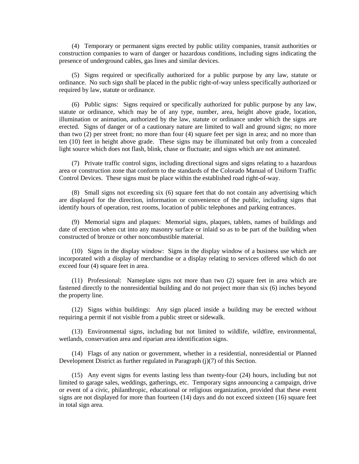(4) Temporary or permanent signs erected by public utility companies, transit authorities or construction companies to warn of danger or hazardous conditions, including signs indicating the presence of underground cables, gas lines and similar devices.

(5) Signs required or specifically authorized for a public purpose by any law, statute or ordinance. No such sign shall be placed in the public right-of-way unless specifically authorized or required by law, statute or ordinance.

(6) Public signs: Signs required or specifically authorized for public purpose by any law, statute or ordinance, which may be of any type, number, area, height above grade, location, illumination or animation, authorized by the law, statute or ordinance under which the signs are erected. Signs of danger or of a cautionary nature are limited to wall and ground signs; no more than two (2) per street front; no more than four (4) square feet per sign in area; and no more than ten (10) feet in height above grade. These signs may be illuminated but only from a concealed light source which does not flash, blink, chase or fluctuate; and signs which are not animated.

(7) Private traffic control signs, including directional signs and signs relating to a hazardous area or construction zone that conform to the standards of the Colorado Manual of Uniform Traffic Control Devices. These signs must be place within the established road right-of-way.

(8) Small signs not exceeding six (6) square feet that do not contain any advertising which are displayed for the direction, information or convenience of the public, including signs that identify hours of operation, rest rooms, location of public telephones and parking entrances.

(9) Memorial signs and plaques: Memorial signs, plaques, tablets, names of buildings and date of erection when cut into any masonry surface or inlaid so as to be part of the building when constructed of bronze or other noncombustible material.

(10) Signs in the display window: Signs in the display window of a business use which are incorporated with a display of merchandise or a display relating to services offered which do not exceed four (4) square feet in area.

(11) Professional: Nameplate signs not more than two (2) square feet in area which are fastened directly to the nonresidential building and do not project more than six (6) inches beyond the property line.

(12) Signs within buildings: Any sign placed inside a building may be erected without requiring a permit if not visible from a public street or sidewalk.

(13) Environmental signs, including but not limited to wildlife, wildfire, environmental, wetlands, conservation area and riparian area identification signs.

(14) Flags of any nation or government, whether in a residential, nonresidential or Planned Development District as further regulated in Paragraph (j)(7) of this Section.

(15) Any event signs for events lasting less than twenty-four (24) hours, including but not limited to garage sales, weddings, gatherings, etc. Temporary signs announcing a campaign, drive or event of a civic, philanthropic, educational or religious organization, provided that these event signs are not displayed for more than fourteen (14) days and do not exceed sixteen (16) square feet in total sign area.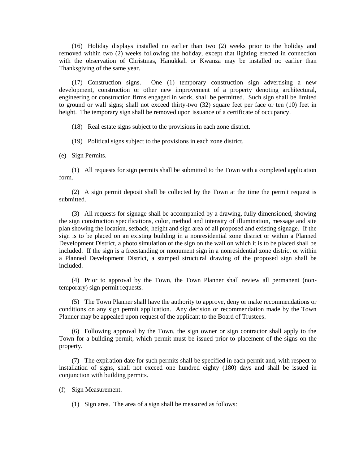(16) Holiday displays installed no earlier than two (2) weeks prior to the holiday and removed within two (2) weeks following the holiday, except that lighting erected in connection with the observation of Christmas, Hanukkah or Kwanza may be installed no earlier than Thanksgiving of the same year.

(17) Construction signs. One (1) temporary construction sign advertising a new development, construction or other new improvement of a property denoting architectural, engineering or construction firms engaged in work, shall be permitted. Such sign shall be limited to ground or wall signs; shall not exceed thirty-two (32) square feet per face or ten (10) feet in height. The temporary sign shall be removed upon issuance of a certificate of occupancy.

(18) Real estate signs subject to the provisions in each zone district.

(19) Political signs subject to the provisions in each zone district.

(e) Sign Permits.

(1) All requests for sign permits shall be submitted to the Town with a completed application form.

(2) A sign permit deposit shall be collected by the Town at the time the permit request is submitted.

(3) All requests for signage shall be accompanied by a drawing, fully dimensioned, showing the sign construction specifications, color, method and intensity of illumination, message and site plan showing the location, setback, height and sign area of all proposed and existing signage. If the sign is to be placed on an existing building in a nonresidential zone district or within a Planned Development District, a photo simulation of the sign on the wall on which it is to be placed shall be included. If the sign is a freestanding or monument sign in a nonresidential zone district or within a Planned Development District, a stamped structural drawing of the proposed sign shall be included.

(4) Prior to approval by the Town, the Town Planner shall review all permanent (nontemporary) sign permit requests.

(5) The Town Planner shall have the authority to approve, deny or make recommendations or conditions on any sign permit application. Any decision or recommendation made by the Town Planner may be appealed upon request of the applicant to the Board of Trustees.

(6) Following approval by the Town, the sign owner or sign contractor shall apply to the Town for a building permit, which permit must be issued prior to placement of the signs on the property.

(7) The expiration date for such permits shall be specified in each permit and, with respect to installation of signs, shall not exceed one hundred eighty (180) days and shall be issued in conjunction with building permits.

(f) Sign Measurement.

(1) Sign area. The area of a sign shall be measured as follows: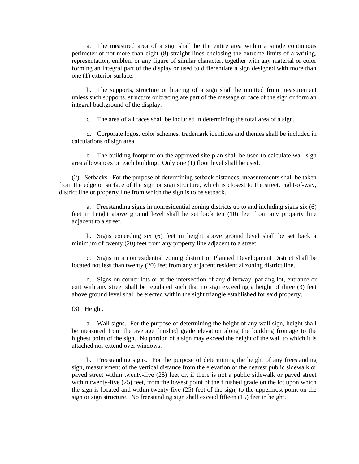a. The measured area of a sign shall be the entire area within a single continuous perimeter of not more than eight (8) straight lines enclosing the extreme limits of a writing, representation, emblem or any figure of similar character, together with any material or color forming an integral part of the display or used to differentiate a sign designed with more than one (1) exterior surface.

b. The supports, structure or bracing of a sign shall be omitted from measurement unless such supports, structure or bracing are part of the message or face of the sign or form an integral background of the display.

c. The area of all faces shall be included in determining the total area of a sign.

d. Corporate logos, color schemes, trademark identities and themes shall be included in calculations of sign area.

e. The building footprint on the approved site plan shall be used to calculate wall sign area allowances on each building. Only one (1) floor level shall be used.

(2) Setbacks. For the purpose of determining setback distances, measurements shall be taken from the edge or surface of the sign or sign structure, which is closest to the street, right-of-way, district line or property line from which the sign is to be setback.

a. Freestanding signs in nonresidential zoning districts up to and including signs six (6) feet in height above ground level shall be set back ten (10) feet from any property line adjacent to a street.

b. Signs exceeding six (6) feet in height above ground level shall be set back a minimum of twenty (20) feet from any property line adjacent to a street.

c. Signs in a nonresidential zoning district or Planned Development District shall be located not less than twenty (20) feet from any adjacent residential zoning district line.

d. Signs on corner lots or at the intersection of any driveway, parking lot, entrance or exit with any street shall be regulated such that no sign exceeding a height of three (3) feet above ground level shall be erected within the sight triangle established for said property.

(3) Height.

a. Wall signs. For the purpose of determining the height of any wall sign, height shall be measured from the average finished grade elevation along the building frontage to the highest point of the sign. No portion of a sign may exceed the height of the wall to which it is attached nor extend over windows.

b. Freestanding signs. For the purpose of determining the height of any freestanding sign, measurement of the vertical distance from the elevation of the nearest public sidewalk or paved street within twenty-five (25) feet or, if there is not a public sidewalk or paved street within twenty-five (25) feet, from the lowest point of the finished grade on the lot upon which the sign is located and within twenty-five (25) feet of the sign, to the uppermost point on the sign or sign structure. No freestanding sign shall exceed fifteen (15) feet in height.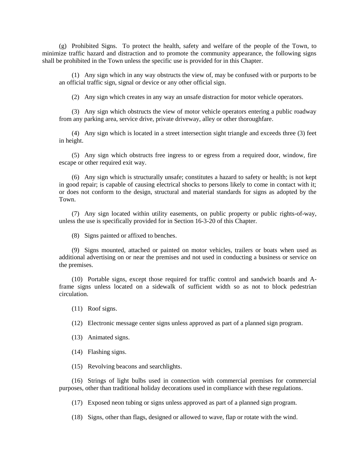(g) Prohibited Signs. To protect the health, safety and welfare of the people of the Town, to minimize traffic hazard and distraction and to promote the community appearance, the following signs shall be prohibited in the Town unless the specific use is provided for in this Chapter.

(1) Any sign which in any way obstructs the view of, may be confused with or purports to be an official traffic sign, signal or device or any other official sign.

(2) Any sign which creates in any way an unsafe distraction for motor vehicle operators.

(3) Any sign which obstructs the view of motor vehicle operators entering a public roadway from any parking area, service drive, private driveway, alley or other thoroughfare.

(4) Any sign which is located in a street intersection sight triangle and exceeds three (3) feet in height.

(5) Any sign which obstructs free ingress to or egress from a required door, window, fire escape or other required exit way.

(6) Any sign which is structurally unsafe; constitutes a hazard to safety or health; is not kept in good repair; is capable of causing electrical shocks to persons likely to come in contact with it; or does not conform to the design, structural and material standards for signs as adopted by the Town.

(7) Any sign located within utility easements, on public property or public rights-of-way, unless the use is specifically provided for in Section 16-3-20 of this Chapter.

(8) Signs painted or affixed to benches.

(9) Signs mounted, attached or painted on motor vehicles, trailers or boats when used as additional advertising on or near the premises and not used in conducting a business or service on the premises.

(10) Portable signs, except those required for traffic control and sandwich boards and Aframe signs unless located on a sidewalk of sufficient width so as not to block pedestrian circulation.

(11) Roof signs.

(12) Electronic message center signs unless approved as part of a planned sign program.

- (13) Animated signs.
- (14) Flashing signs.

(15) Revolving beacons and searchlights.

(16) Strings of light bulbs used in connection with commercial premises for commercial purposes, other than traditional holiday decorations used in compliance with these regulations.

(17) Exposed neon tubing or signs unless approved as part of a planned sign program.

(18) Signs, other than flags, designed or allowed to wave, flap or rotate with the wind.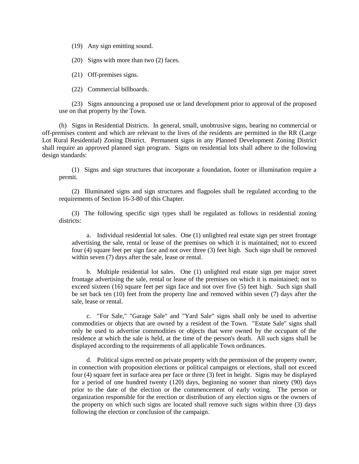(19) Any sign emitting sound.

(20) Signs with more than two (2) faces.

(21) Off-premises signs.

(22) Commercial billboards.

(23) Signs announcing a proposed use or land development prior to approval of the proposed use on that property by the Town.

(h) Signs in Residential Districts. In general, small, unobtrusive signs, bearing no commercial or off-premises content and which are relevant to the lives of the residents are permitted in the RR (Large Lot Rural Residential) Zoning District. Permanent signs in any Planned Development Zoning District shall require an approved planned sign program. Signs on residential lots shall adhere to the following design standards:

(1) Signs and sign structures that incorporate a foundation, footer or illumination require a permit.

(2) Illuminated signs and sign structures and flagpoles shall be regulated according to the requirements of Section 16-3-80 of this Chapter.

(3) The following specific sign types shall be regulated as follows in residential zoning districts:

a. Individual residential lot sales. One (1) unlighted real estate sign per street frontage advertising the sale, rental or lease of the premises on which it is maintained; not to exceed four (4) square feet per sign face and not over three (3) feet high. Such sign shall be removed within seven (7) days after the sale, lease or rental.

b. Multiple residential lot sales. One (1) unlighted real estate sign per major street frontage advertising the sale, rental or lease of the premises on which it is maintained; not to exceed sixteen (16) square feet per sign face and not over five (5) feet high. Such sign shall be set back ten (10) feet from the property line and removed within seven (7) days after the sale, lease or rental.

c. "For Sale," "Garage Sale" and "Yard Sale" signs shall only be used to advertise commodities or objects that are owned by a resident of the Town. "Estate Sale" signs shall only be used to advertise commodities or objects that were owned by the occupant of the residence at which the sale is held, at the time of the person's death. All such signs shall be displayed according to the requirements of all applicable Town ordinances.

d. Political signs erected on private property with the permission of the property owner, in connection with proposition elections or political campaigns or elections, shall not exceed four (4) square feet in surface area per face or three (3) feet in height. Signs may be displayed for a period of one hundred twenty (120) days, beginning no sooner than ninety (90) days prior to the date of the election or the commencement of early voting. The person or organization responsible for the erection or distribution of any election signs or the owners of the property on which such signs are located shall remove such signs within three (3) days following the election or conclusion of the campaign.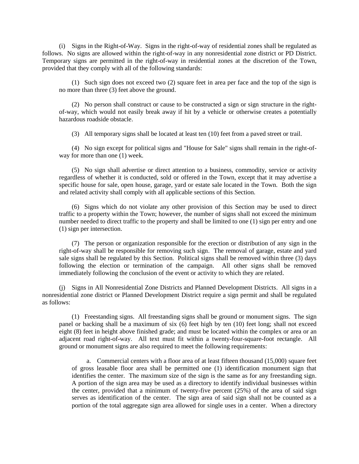(i) Signs in the Right-of-Way. Signs in the right-of-way of residential zones shall be regulated as follows. No signs are allowed within the right-of-way in any nonresidential zone district or PD District. Temporary signs are permitted in the right-of-way in residential zones at the discretion of the Town, provided that they comply with all of the following standards:

(1) Such sign does not exceed two (2) square feet in area per face and the top of the sign is no more than three (3) feet above the ground.

(2) No person shall construct or cause to be constructed a sign or sign structure in the rightof-way, which would not easily break away if hit by a vehicle or otherwise creates a potentially hazardous roadside obstacle.

(3) All temporary signs shall be located at least ten (10) feet from a paved street or trail.

(4) No sign except for political signs and "House for Sale" signs shall remain in the right-ofway for more than one (1) week.

(5) No sign shall advertise or direct attention to a business, commodity, service or activity regardless of whether it is conducted, sold or offered in the Town, except that it may advertise a specific house for sale, open house, garage, yard or estate sale located in the Town. Both the sign and related activity shall comply with all applicable sections of this Section.

(6) Signs which do not violate any other provision of this Section may be used to direct traffic to a property within the Town; however, the number of signs shall not exceed the minimum number needed to direct traffic to the property and shall be limited to one (1) sign per entry and one (1) sign per intersection.

(7) The person or organization responsible for the erection or distribution of any sign in the right-of-way shall be responsible for removing such sign. The removal of garage, estate and yard sale signs shall be regulated by this Section. Political signs shall be removed within three (3) days following the election or termination of the campaign. All other signs shall be removed immediately following the conclusion of the event or activity to which they are related.

(j) Signs in All Nonresidential Zone Districts and Planned Development Districts. All signs in a nonresidential zone district or Planned Development District require a sign permit and shall be regulated as follows:

(1) Freestanding signs. All freestanding signs shall be ground or monument signs. The sign panel or backing shall be a maximum of six (6) feet high by ten (10) feet long; shall not exceed eight (8) feet in height above finished grade; and must be located within the complex or area or an adjacent road right-of-way. All text must fit within a twenty-four-square-foot rectangle. All ground or monument signs are also required to meet the following requirements:

a. Commercial centers with a floor area of at least fifteen thousand (15,000) square feet of gross leasable floor area shall be permitted one (1) identification monument sign that identifies the center. The maximum size of the sign is the same as for any freestanding sign. A portion of the sign area may be used as a directory to identify individual businesses within the center, provided that a minimum of twenty-five percent (25%) of the area of said sign serves as identification of the center. The sign area of said sign shall not be counted as a portion of the total aggregate sign area allowed for single uses in a center. When a directory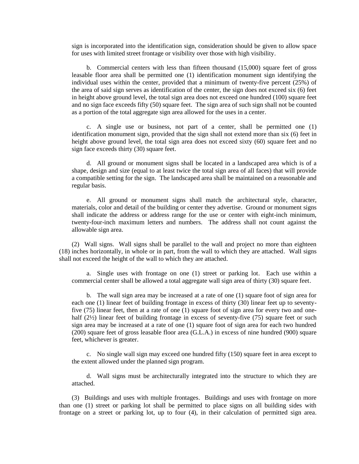sign is incorporated into the identification sign, consideration should be given to allow space for uses with limited street frontage or visibility over those with high visibility.

b. Commercial centers with less than fifteen thousand (15,000) square feet of gross leasable floor area shall be permitted one (1) identification monument sign identifying the individual uses within the center, provided that a minimum of twenty-five percent (25%) of the area of said sign serves as identification of the center, the sign does not exceed six (6) feet in height above ground level, the total sign area does not exceed one hundred (100) square feet and no sign face exceeds fifty (50) square feet. The sign area of such sign shall not be counted as a portion of the total aggregate sign area allowed for the uses in a center.

c. A single use or business, not part of a center, shall be permitted one (1) identification monument sign, provided that the sign shall not extend more than six (6) feet in height above ground level, the total sign area does not exceed sixty (60) square feet and no sign face exceeds thirty (30) square feet.

d. All ground or monument signs shall be located in a landscaped area which is of a shape, design and size (equal to at least twice the total sign area of all faces) that will provide a compatible setting for the sign. The landscaped area shall be maintained on a reasonable and regular basis.

e. All ground or monument signs shall match the architectural style, character, materials, color and detail of the building or center they advertise. Ground or monument signs shall indicate the address or address range for the use or center with eight-inch minimum, twenty-four-inch maximum letters and numbers. The address shall not count against the allowable sign area.

(2) Wall signs. Wall signs shall be parallel to the wall and project no more than eighteen (18) inches horizontally, in whole or in part, from the wall to which they are attached. Wall signs shall not exceed the height of the wall to which they are attached.

a. Single uses with frontage on one (1) street or parking lot. Each use within a commercial center shall be allowed a total aggregate wall sign area of thirty (30) square feet.

b. The wall sign area may be increased at a rate of one (1) square foot of sign area for each one (1) linear feet of building frontage in excess of thirty (30) linear feet up to seventyfive (75) linear feet, then at a rate of one (1) square foot of sign area for every two and onehalf (2½) linear feet of building frontage in excess of seventy-five (75) square feet or such sign area may be increased at a rate of one (1) square foot of sign area for each two hundred (200) square feet of gross leasable floor area (G.L.A.) in excess of nine hundred (900) square feet, whichever is greater.

c. No single wall sign may exceed one hundred fifty (150) square feet in area except to the extent allowed under the planned sign program.

d. Wall signs must be architecturally integrated into the structure to which they are attached.

(3) Buildings and uses with multiple frontages. Buildings and uses with frontage on more than one (1) street or parking lot shall be permitted to place signs on all building sides with frontage on a street or parking lot, up to four (4), in their calculation of permitted sign area.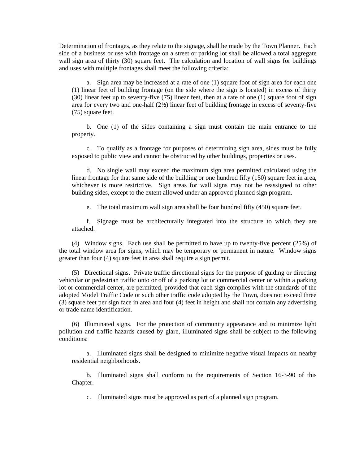Determination of frontages, as they relate to the signage, shall be made by the Town Planner. Each side of a business or use with frontage on a street or parking lot shall be allowed a total aggregate wall sign area of thirty (30) square feet. The calculation and location of wall signs for buildings and uses with multiple frontages shall meet the following criteria:

a. Sign area may be increased at a rate of one (1) square foot of sign area for each one (1) linear feet of building frontage (on the side where the sign is located) in excess of thirty (30) linear feet up to seventy-five (75) linear feet, then at a rate of one (1) square foot of sign area for every two and one-half (2½) linear feet of building frontage in excess of seventy-five (75) square feet.

b. One (1) of the sides containing a sign must contain the main entrance to the property.

c. To qualify as a frontage for purposes of determining sign area, sides must be fully exposed to public view and cannot be obstructed by other buildings, properties or uses.

d. No single wall may exceed the maximum sign area permitted calculated using the linear frontage for that same side of the building or one hundred fifty (150) square feet in area, whichever is more restrictive. Sign areas for wall signs may not be reassigned to other building sides, except to the extent allowed under an approved planned sign program.

e. The total maximum wall sign area shall be four hundred fifty (450) square feet.

f. Signage must be architecturally integrated into the structure to which they are attached.

(4) Window signs. Each use shall be permitted to have up to twenty-five percent (25%) of the total window area for signs, which may be temporary or permanent in nature. Window signs greater than four (4) square feet in area shall require a sign permit.

(5) Directional signs. Private traffic directional signs for the purpose of guiding or directing vehicular or pedestrian traffic onto or off of a parking lot or commercial center or within a parking lot or commercial center, are permitted, provided that each sign complies with the standards of the adopted Model Traffic Code or such other traffic code adopted by the Town, does not exceed three (3) square feet per sign face in area and four (4) feet in height and shall not contain any advertising or trade name identification.

(6) Illuminated signs. For the protection of community appearance and to minimize light pollution and traffic hazards caused by glare, illuminated signs shall be subject to the following conditions:

a. Illuminated signs shall be designed to minimize negative visual impacts on nearby residential neighborhoods.

b. Illuminated signs shall conform to the requirements of Section 16-3-90 of this Chapter.

c. Illuminated signs must be approved as part of a planned sign program.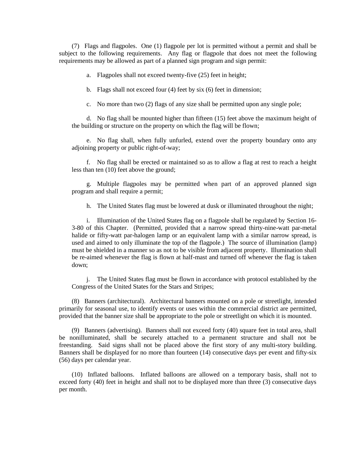(7) Flags and flagpoles. One (1) flagpole per lot is permitted without a permit and shall be subject to the following requirements. Any flag or flagpole that does not meet the following requirements may be allowed as part of a planned sign program and sign permit:

a. Flagpoles shall not exceed twenty-five (25) feet in height;

b. Flags shall not exceed four (4) feet by six (6) feet in dimension;

c. No more than two (2) flags of any size shall be permitted upon any single pole;

d. No flag shall be mounted higher than fifteen (15) feet above the maximum height of the building or structure on the property on which the flag will be flown;

e. No flag shall, when fully unfurled, extend over the property boundary onto any adjoining property or public right-of-way;

f. No flag shall be erected or maintained so as to allow a flag at rest to reach a height less than ten (10) feet above the ground;

g. Multiple flagpoles may be permitted when part of an approved planned sign program and shall require a permit;

h. The United States flag must be lowered at dusk or illuminated throughout the night;

i. Illumination of the United States flag on a flagpole shall be regulated by Section 16- 3-80 of this Chapter. (Permitted, provided that a narrow spread thirty-nine-watt par-metal halide or fifty-watt par-halogen lamp or an equivalent lamp with a similar narrow spread, is used and aimed to only illuminate the top of the flagpole.) The source of illumination (lamp) must be shielded in a manner so as not to be visible from adjacent property. Illumination shall be re-aimed whenever the flag is flown at half-mast and turned off whenever the flag is taken down;

j. The United States flag must be flown in accordance with protocol established by the Congress of the United States for the Stars and Stripes;

(8) Banners (architectural). Architectural banners mounted on a pole or streetlight, intended primarily for seasonal use, to identify events or uses within the commercial district are permitted, provided that the banner size shall be appropriate to the pole or streetlight on which it is mounted.

(9) Banners (advertising). Banners shall not exceed forty (40) square feet in total area, shall be nonilluminated, shall be securely attached to a permanent structure and shall not be freestanding. Said signs shall not be placed above the first story of any multi-story building. Banners shall be displayed for no more than fourteen (14) consecutive days per event and fifty-six (56) days per calendar year.

(10) Inflated balloons. Inflated balloons are allowed on a temporary basis, shall not to exceed forty (40) feet in height and shall not to be displayed more than three (3) consecutive days per month.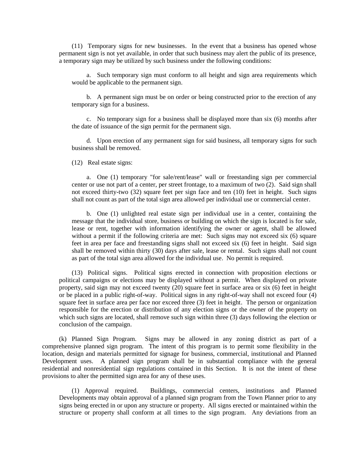(11) Temporary signs for new businesses. In the event that a business has opened whose permanent sign is not yet available, in order that such business may alert the public of its presence, a temporary sign may be utilized by such business under the following conditions:

a. Such temporary sign must conform to all height and sign area requirements which would be applicable to the permanent sign.

b. A permanent sign must be on order or being constructed prior to the erection of any temporary sign for a business.

c. No temporary sign for a business shall be displayed more than six (6) months after the date of issuance of the sign permit for the permanent sign.

d. Upon erection of any permanent sign for said business, all temporary signs for such business shall be removed.

(12) Real estate signs:

a. One (1) temporary "for sale/rent/lease" wall or freestanding sign per commercial center or use not part of a center, per street frontage, to a maximum of two (2). Said sign shall not exceed thirty-two (32) square feet per sign face and ten (10) feet in height. Such signs shall not count as part of the total sign area allowed per individual use or commercial center.

b. One (1) unlighted real estate sign per individual use in a center, containing the message that the individual store, business or building on which the sign is located is for sale, lease or rent, together with information identifying the owner or agent, shall be allowed without a permit if the following criteria are met: Such signs may not exceed six (6) square feet in area per face and freestanding signs shall not exceed six (6) feet in height. Said sign shall be removed within thirty (30) days after sale, lease or rental. Such signs shall not count as part of the total sign area allowed for the individual use. No permit is required.

(13) Political signs. Political signs erected in connection with proposition elections or political campaigns or elections may be displayed without a permit. When displayed on private property, said sign may not exceed twenty (20) square feet in surface area or six (6) feet in height or be placed in a public right-of-way. Political signs in any right-of-way shall not exceed four (4) square feet in surface area per face nor exceed three (3) feet in height. The person or organization responsible for the erection or distribution of any election signs or the owner of the property on which such signs are located, shall remove such sign within three (3) days following the election or conclusion of the campaign.

(k) Planned Sign Program. Signs may be allowed in any zoning district as part of a comprehensive planned sign program. The intent of this program is to permit some flexibility in the location, design and materials permitted for signage for business, commercial, institutional and Planned Development uses. A planned sign program shall be in substantial compliance with the general residential and nonresidential sign regulations contained in this Section. It is not the intent of these provisions to alter the permitted sign area for any of these uses.

(1) Approval required. Buildings, commercial centers, institutions and Planned Developments may obtain approval of a planned sign program from the Town Planner prior to any signs being erected in or upon any structure or property. All signs erected or maintained within the structure or property shall conform at all times to the sign program. Any deviations from an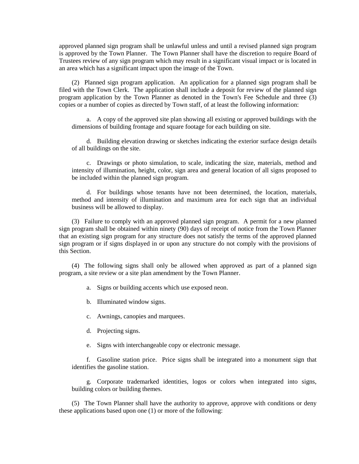approved planned sign program shall be unlawful unless and until a revised planned sign program is approved by the Town Planner. The Town Planner shall have the discretion to require Board of Trustees review of any sign program which may result in a significant visual impact or is located in an area which has a significant impact upon the image of the Town.

(2) Planned sign program application. An application for a planned sign program shall be filed with the Town Clerk. The application shall include a deposit for review of the planned sign program application by the Town Planner as denoted in the Town's Fee Schedule and three (3) copies or a number of copies as directed by Town staff, of at least the following information:

a. A copy of the approved site plan showing all existing or approved buildings with the dimensions of building frontage and square footage for each building on site.

d. Building elevation drawing or sketches indicating the exterior surface design details of all buildings on the site.

c. Drawings or photo simulation, to scale, indicating the size, materials, method and intensity of illumination, height, color, sign area and general location of all signs proposed to be included within the planned sign program.

d. For buildings whose tenants have not been determined, the location, materials, method and intensity of illumination and maximum area for each sign that an individual business will be allowed to display.

(3) Failure to comply with an approved planned sign program. A permit for a new planned sign program shall be obtained within ninety (90) days of receipt of notice from the Town Planner that an existing sign program for any structure does not satisfy the terms of the approved planned sign program or if signs displayed in or upon any structure do not comply with the provisions of this Section.

(4) The following signs shall only be allowed when approved as part of a planned sign program, a site review or a site plan amendment by the Town Planner.

a. Signs or building accents which use exposed neon.

b. Illuminated window signs.

c. Awnings, canopies and marquees.

d. Projecting signs.

e. Signs with interchangeable copy or electronic message.

f. Gasoline station price. Price signs shall be integrated into a monument sign that identifies the gasoline station.

g. Corporate trademarked identities, logos or colors when integrated into signs, building colors or building themes.

(5) The Town Planner shall have the authority to approve, approve with conditions or deny these applications based upon one (1) or more of the following: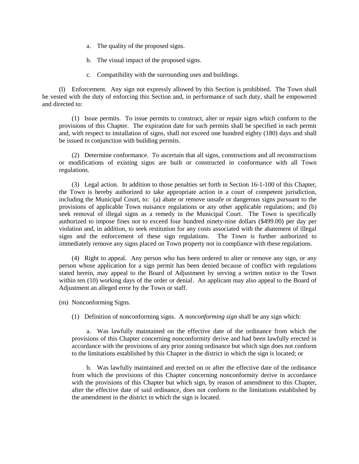- a. The quality of the proposed signs.
- b. The visual impact of the proposed signs.
- c. Compatibility with the surrounding uses and buildings.

(l) Enforcement. Any sign not expressly allowed by this Section is prohibited. The Town shall be vested with the duty of enforcing this Section and, in performance of such duty, shall be empowered and directed to:

(1) Issue permits. To issue permits to construct, alter or repair signs which conform to the provisions of this Chapter. The expiration date for such permits shall be specified in each permit and, with respect to installation of signs, shall not exceed one hundred eighty (180) days and shall be issued in conjunction with building permits.

(2) Determine conformance. To ascertain that all signs, constructions and all reconstructions or modifications of existing signs are built or constructed in conformance with all Town regulations.

(3) Legal action. In addition to those penalties set forth in Section 16-1-100 of this Chapter, the Town is hereby authorized to take appropriate action in a court of competent jurisdiction, including the Municipal Court, to: (a) abate or remove unsafe or dangerous signs pursuant to the provisions of applicable Town nuisance regulations or any other applicable regulations; and (b) seek removal of illegal signs as a remedy in the Municipal Court. The Town is specifically authorized to impose fines not to exceed four hundred ninety-nine dollars (\$499.00) per day per violation and, in addition, to seek restitution for any costs associated with the abatement of illegal signs and the enforcement of these sign regulations. The Town is further authorized to immediately remove any signs placed on Town property not in compliance with these regulations.

(4) Right to appeal. Any person who has been ordered to alter or remove any sign, or any person whose application for a sign permit has been denied because of conflict with regulations stated herein, may appeal to the Board of Adjustment by serving a written notice to the Town within ten (10) working days of the order or denial. An applicant may also appeal to the Board of Adjustment an alleged error by the Town or staff.

(m) Nonconforming Signs.

(1) Definition of nonconforming signs. A *nonconforming sign* shall be any sign which:

a. Was lawfully maintained on the effective date of the ordinance from which the provisions of this Chapter concerning nonconformity derive and had been lawfully erected in accordance with the provisions of any prior zoning ordinance but which sign does not conform to the limitations established by this Chapter in the district in which the sign is located; or

b. Was lawfully maintained and erected on or after the effective date of the ordinance from which the provisions of this Chapter concerning nonconformity derive in accordance with the provisions of this Chapter but which sign, by reason of amendment to this Chapter, after the effective date of said ordinance, does not conform to the limitations established by the amendment in the district in which the sign is located.